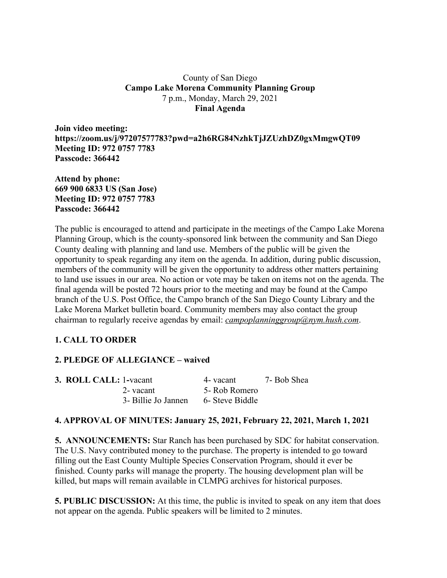### County of San Diego **Campo Lake Morena Community Planning Group** 7 p.m., Monday, March 29, 2021 **Final Agenda**

**Join video meeting: https://zoom.us/j/97207577783?pwd=a2h6RG84NzhkTjJZUzhDZ0gxMmgwQT09 Meeting ID: 972 0757 7783 Passcode: 366442**

**Attend by phone: 669 900 6833 US (San Jose) Meeting ID: 972 0757 7783 Passcode: 366442**

The public is encouraged to attend and participate in the meetings of the Campo Lake Morena Planning Group, which is the county-sponsored link between the community and San Diego County dealing with planning and land use. Members of the public will be given the opportunity to speak regarding any item on the agenda. In addition, during public discussion, members of the community will be given the opportunity to address other matters pertaining to land use issues in our area. No action or vote may be taken on items not on the agenda. The final agenda will be posted 72 hours prior to the meeting and may be found at the Campo branch of the U.S. Post Office, the Campo branch of the San Diego County Library and the Lake Morena Market bulletin board. Community members may also contact the group chairman to regularly receive agendas by email: *campoplanninggroup@nym.hush.com*.

# **1. CALL TO ORDER**

### **2. PLEDGE OF ALLEGIANCE – waived**

| <b>3. ROLL CALL: 1-vacant</b> |                     | 4- vacant       | 7- Bob Shea |
|-------------------------------|---------------------|-----------------|-------------|
|                               | 2- vacant           | 5- Rob Romero   |             |
|                               | 3- Billie Jo Jannen | 6- Steve Biddle |             |

# **4. APPROVAL OF MINUTES: January 25, 2021, February 22, 2021, March 1, 2021**

**5. ANNOUNCEMENTS:** Star Ranch has been purchased by SDC for habitat conservation. The U.S. Navy contributed money to the purchase. The property is intended to go toward filling out the East County Multiple Species Conservation Program, should it ever be finished. County parks will manage the property. The housing development plan will be killed, but maps will remain available in CLMPG archives for historical purposes.

**5. PUBLIC DISCUSSION:** At this time, the public is invited to speak on any item that does not appear on the agenda. Public speakers will be limited to 2 minutes.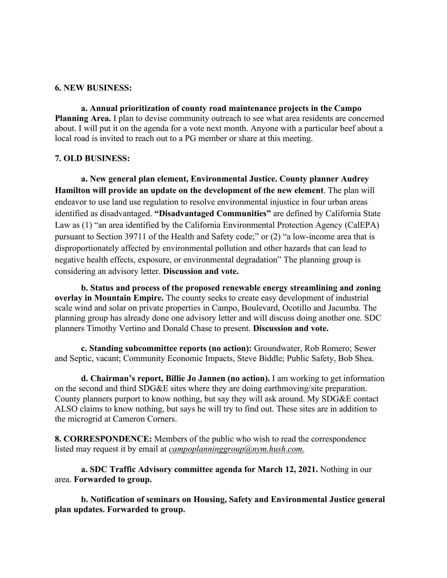#### **6. NEW BUSINESS:**

**a. Annual prioritization of county road maintenance projects in the Campo Planning Area.** I plan to devise community outreach to see what area residents are concerned about. I will put it on the agenda for a vote next month. Anyone with a particular beef about a local road is invited to reach out to a PG member or share at this meeting.

### **7. OLD BUSINESS:**

**a. New general plan element, Environmental Justice. County planner Audrey Hamilton will provide an update on the development of the new element**. The plan will endeavor to use land use regulation to resolve environmental injustice in four urban areas identified as disadvantaged. **"Disadvantaged Communities"** are defined by California State Law as (1) "an area identified by the California Environmental Protection Agency (CalEPA) pursuant to Section 39711 of the Health and Safety code;" or (2) "a low-income area that is disproportionately affected by environmental pollution and other hazards that can lead to negative health effects, exposure, or environmental degradation" The planning group is considering an advisory letter. **Discussion and vote.**

**b. Status and process of the proposed renewable energy streamlining and zoning overlay in Mountain Empire.** The county seeks to create easy development of industrial scale wind and solar on private properties in Campo, Boulevard, Ocotillo and Jacumba. The planning group has already done one advisory letter and will discuss doing another one. SDC planners Timothy Vertino and Donald Chase to present. **Discussion and vote.**

**c. Standing subcommittee reports (no action):** Groundwater, Rob Romero; Sewer and Septic, vacant; Community Economic Impacts, Steve Biddle; Public Safety, Bob Shea.

**d. Chairman's report, Billie Jo Jannen (no action).** I am working to get information on the second and third SDG&E sites where they are doing earthmoving/site preparation. County planners purport to know nothing, but say they will ask around. My SDG&E contact ALSO claims to know nothing, but says he will try to find out. These sites are in addition to the microgrid at Cameron Corners.

**8. CORRESPONDENCE:** Members of the public who wish to read the correspondence listed may request it by email at *campoplanninggroup@nym.hush.com.*

**a. SDC Traffic Advisory committee agenda for March 12, 2021.** Nothing in our area. **Forwarded to group.**

**b. Notification of seminars on Housing, Safety and Environmental Justice general plan updates. Forwarded to group.**